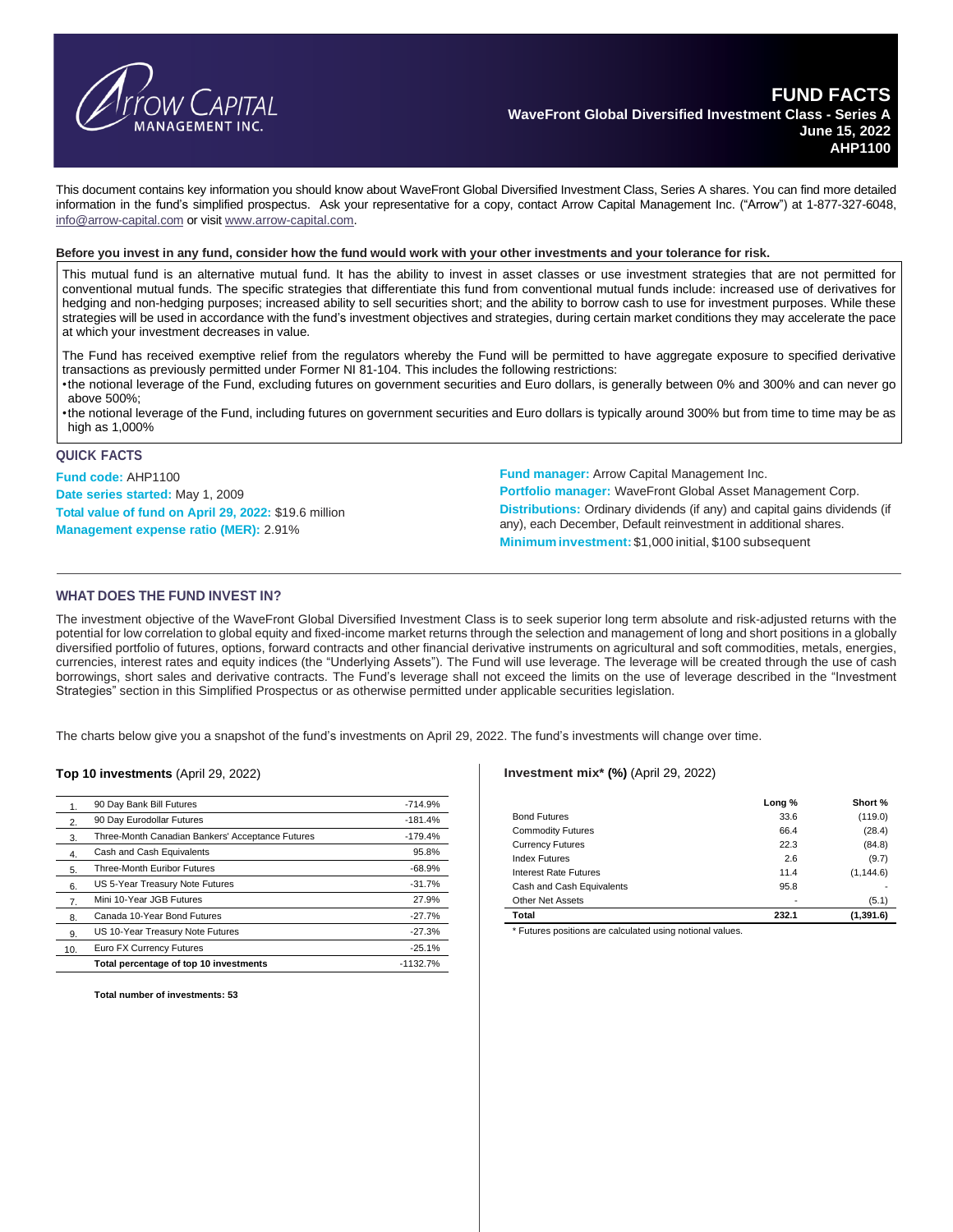

This document contains key information you should know about WaveFront Global Diversified Investment Class, Series A shares. You can find more detailed information in the fund's simplified prospectus. Ask your representative for a copy, contact Arrow Capital Management Inc. ("Arrow") at 1-877-327-6048, [info@arrow-capital.com](mailto:info@arrow-capital.com) or visit [www.arrow-capital.com.](http://www.arrow-capital.com/)

#### Before you invest in any fund, consider how the fund would work with your other investments and your tolerance for risk.

This mutual fund is an alternative mutual fund. It has the ability to invest in asset classes or use investment strategies that are not permitted for conventional mutual funds. The specific strategies that differentiate this fund from conventional mutual funds include: increased use of derivatives for hedging and non-hedging purposes; increased ability to sell securities short; and the ability to borrow cash to use for investment purposes. While these strategies will be used in accordance with the fund's investment objectives and strategies, during certain market conditions they may accelerate the pace at which your investment decreases in value.

The Fund has received exemptive relief from the regulators whereby the Fund will be permitted to have aggregate exposure to specified derivative transactions as previously permitted under Former NI 81-104. This includes the following restrictions:

•the notional leverage of the Fund, excluding futures on government securities and Euro dollars, is generally between 0% and 300% and can never go above 500%;

•the notional leverage of the Fund, including futures on government securities and Euro dollars is typically around 300% but from time to time may be as high as 1,000%

#### **QUICK FACTS**

**Fund code:** AHP1100 **Date series started:** May 1, 2009 **Total value of fund on April 29, 2022:** \$19.6 million **Management expense ratio (MER):** 2.91%

**Fund manager:** Arrow Capital Management Inc.

**Portfolio manager:** WaveFront Global Asset Management Corp. **Distributions:** Ordinary dividends (if any) and capital gains dividends (if any), each December, Default reinvestment in additional shares. **Minimuminvestment:** \$1,000 initial, \$100 subsequent

### **WHAT DOES THE FUND INVEST IN?**

The investment objective of the WaveFront Global Diversified Investment Class is to seek superior long term absolute and risk-adjusted returns with the potential for low correlation to global equity and fixed-income market returns through the selection and management of long and short positions in a globally diversified portfolio of futures, options, forward contracts and other financial derivative instruments on agricultural and soft commodities, metals, energies, currencies, interest rates and equity indices (the "Underlying Assets"). The Fund will use leverage. The leverage will be created through the use of cash borrowings, short sales and derivative contracts. The Fund's leverage shall not exceed the limits on the use of leverage described in the "Investment Strategies" section in this Simplified Prospectus or as otherwise permitted under applicable securities legislation.

The charts below give you a snapshot of the fund's investments on April 29, 2022. The fund's investments will change over time.

#### **Top 10 investments** (April 29, 2022)

|                  | 90 Day Bank Bill Futures                         | $-714.9%$  |
|------------------|--------------------------------------------------|------------|
| 2.               | 90 Day Eurodollar Futures                        | $-181.4%$  |
| 3.               | Three-Month Canadian Bankers' Acceptance Futures | $-179.4%$  |
| $\overline{4}$ . | Cash and Cash Equivalents                        | 95.8%      |
| 5.               | Three-Month Euribor Futures                      | $-68.9%$   |
| 6.               | US 5-Year Treasury Note Futures                  | $-31.7%$   |
| 7.               | Mini 10-Year JGB Futures                         | 27.9%      |
| 8.               | Canada 10-Year Bond Futures                      | $-27.7%$   |
| 9.               | US 10-Year Treasury Note Futures                 | $-27.3%$   |
| 10.              | Euro FX Currency Futures                         | $-25.1%$   |
|                  | Total percentage of top 10 investments           | $-1132.7%$ |

**Total number of investments: 53**

#### **Investment mix\* (%)** (April 29, 2022)

|                           | Long % | Short %    |
|---------------------------|--------|------------|
| <b>Bond Futures</b>       | 33.6   | (119.0)    |
| <b>Commodity Futures</b>  | 66.4   | (28.4)     |
| <b>Currency Futures</b>   | 22.3   | (84.8)     |
| <b>Index Futures</b>      | 2.6    | (9.7)      |
| Interest Rate Futures     | 11.4   | (1, 144.6) |
| Cash and Cash Equivalents | 95.8   |            |
| <b>Other Net Assets</b>   | ٠      | (5.1)      |
| Total                     | 232.1  | (1, 391.6) |

\* Futures positions are calculated using notional values.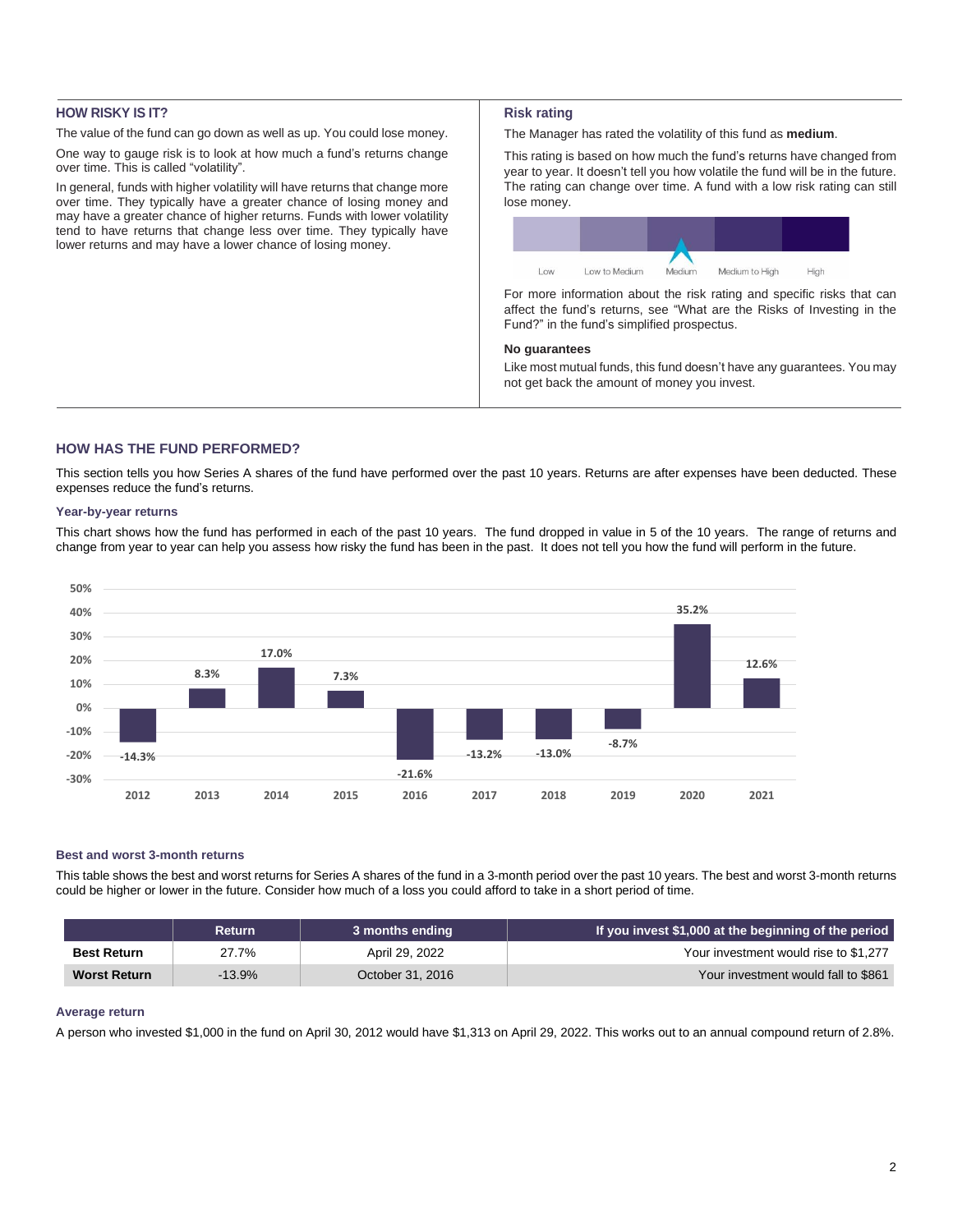## **HOW RISKY IS IT?**

The value of the fund can go down as well as up. You could lose money.

One way to gauge risk is to look at how much a fund's returns change over time. This is called "volatility".

In general, funds with higher volatility will have returns that change more over time. They typically have a greater chance of losing money and may have a greater chance of higher returns. Funds with lower volatility tend to have returns that change less over time. They typically have lower returns and may have a lower chance of losing money.

#### **Risk rating**

The Manager has rated the volatility of this fund as **medium**.

This rating is based on how much the fund's returns have changed from year to year. It doesn't tell you how volatile the fund will be in the future. The rating can change over time. A fund with a low risk rating can still lose money.



For more information about the risk rating and specific risks that can affect the fund's returns, see "What are the Risks of Investing in the Fund?" in the fund's simplified prospectus.

## **No guarantees**

Like most mutual funds, this fund doesn't have any guarantees. You may not get back the amount of money you invest.

## **HOW HAS THE FUND PERFORMED?**

This section tells you how Series A shares of the fund have performed over the past 10 years. Returns are after expenses have been deducted. These expenses reduce the fund's returns.

#### **Year-by-year returns**

This chart shows how the fund has performed in each of the past 10 years. The fund dropped in value in 5 of the 10 years. The range of returns and change from year to year can help you assess how risky the fund has been in the past. It does not tell you how the fund will perform in the future.



## **Best and worst 3-month returns**

This table shows the best and worst returns for Series A shares of the fund in a 3-month period over the past 10 years. The best and worst 3-month returns could be higher or lower in the future. Consider how much of a loss you could afford to take in a short period of time.

|                     | <b>Return</b> | 3 months ending  | If you invest \$1,000 at the beginning of the period |
|---------------------|---------------|------------------|------------------------------------------------------|
| <b>Best Return</b>  | 27.7%         | April 29, 2022   | Your investment would rise to \$1,277                |
| <b>Worst Return</b> | $-13.9%$      | October 31, 2016 | Your investment would fall to \$861                  |

### **Average return**

A person who invested \$1,000 in the fund on April 30, 2012 would have \$1,313 on April 29, 2022. This works out to an annual compound return of 2.8%.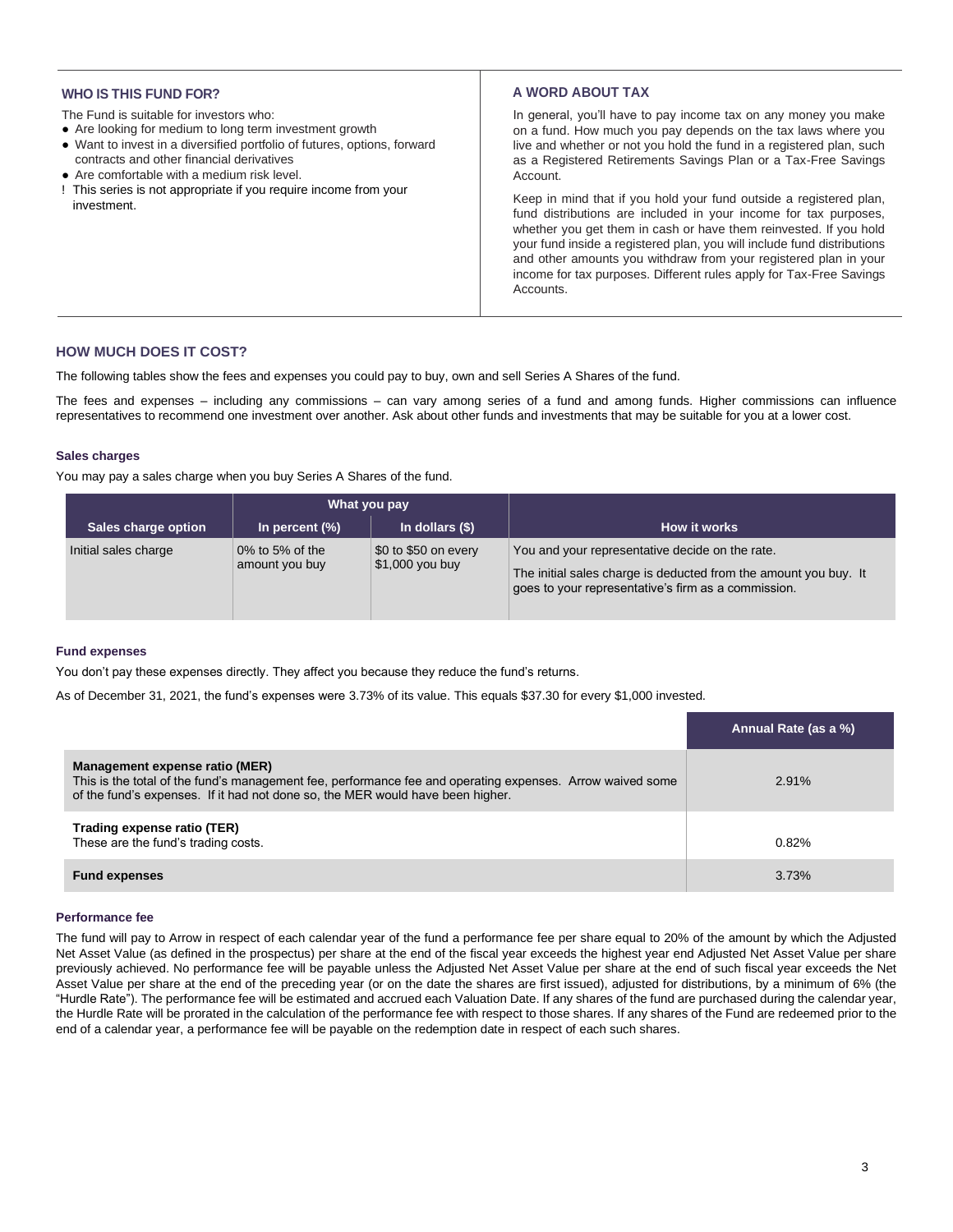## **WHO IS THIS FUND FOR?**

The Fund is suitable for investors who:

- Are looking for medium to long term investment growth
- Want to invest in a diversified portfolio of futures, options, forward contracts and other financial derivatives
- Are comfortable with a medium risk level.
- ! This series is not appropriate if you require income from your investment.

## **A WORD ABOUT TAX**

In general, you'll have to pay income tax on any money you make on a fund. How much you pay depends on the tax laws where you live and whether or not you hold the fund in a registered plan, such as a Registered Retirements Savings Plan or a Tax-Free Savings Account.

Keep in mind that if you hold your fund outside a registered plan, fund distributions are included in your income for tax purposes, whether you get them in cash or have them reinvested. If you hold your fund inside a registered plan, you will include fund distributions and other amounts you withdraw from your registered plan in your income for tax purposes. Different rules apply for Tax-Free Savings Accounts.

## **HOW MUCH DOES IT COST?**

The following tables show the fees and expenses you could pay to buy, own and sell Series A Shares of the fund.

The fees and expenses – including any commissions – can vary among series of a fund and among funds. Higher commissions can influence representatives to recommend one investment over another. Ask about other funds and investments that may be suitable for you at a lower cost.

#### **Sales charges**

You may pay a sales charge when you buy Series A Shares of the fund.

|                      | What you pay                      |                                         |                                                                                                                                                                            |
|----------------------|-----------------------------------|-----------------------------------------|----------------------------------------------------------------------------------------------------------------------------------------------------------------------------|
| Sales charge option  | In percent $(\%)$                 | In dollars $(§)$                        | How it works                                                                                                                                                               |
| Initial sales charge | 0% to 5% of the<br>amount you buy | \$0 to \$50 on every<br>\$1,000 you buy | You and your representative decide on the rate.<br>The initial sales charge is deducted from the amount you buy. It<br>goes to your representative's firm as a commission. |

### **Fund expenses**

You don't pay these expenses directly. They affect you because they reduce the fund's returns.

As of December 31, 2021, the fund's expenses were 3.73% of its value. This equals \$37.30 for every \$1,000 invested.

|                                                                                                                                                                                                                               | Annual Rate (as a %) |
|-------------------------------------------------------------------------------------------------------------------------------------------------------------------------------------------------------------------------------|----------------------|
| Management expense ratio (MER)<br>This is the total of the fund's management fee, performance fee and operating expenses. Arrow waived some<br>of the fund's expenses. If it had not done so, the MER would have been higher. | $2.91\%$             |
| Trading expense ratio (TER)<br>These are the fund's trading costs.                                                                                                                                                            | 0.82%                |
| <b>Fund expenses</b>                                                                                                                                                                                                          | 3.73%                |

### **Performance fee**

The fund will pay to Arrow in respect of each calendar year of the fund a performance fee per share equal to 20% of the amount by which the Adjusted Net Asset Value (as defined in the prospectus) per share at the end of the fiscal year exceeds the highest year end Adjusted Net Asset Value per share previously achieved. No performance fee will be payable unless the Adjusted Net Asset Value per share at the end of such fiscal year exceeds the Net Asset Value per share at the end of the preceding year (or on the date the shares are first issued), adjusted for distributions, by a minimum of 6% (the "Hurdle Rate"). The performance fee will be estimated and accrued each Valuation Date. If any shares of the fund are purchased during the calendar year, the Hurdle Rate will be prorated in the calculation of the performance fee with respect to those shares. If any shares of the Fund are redeemed prior to the end of a calendar year, a performance fee will be payable on the redemption date in respect of each such shares.